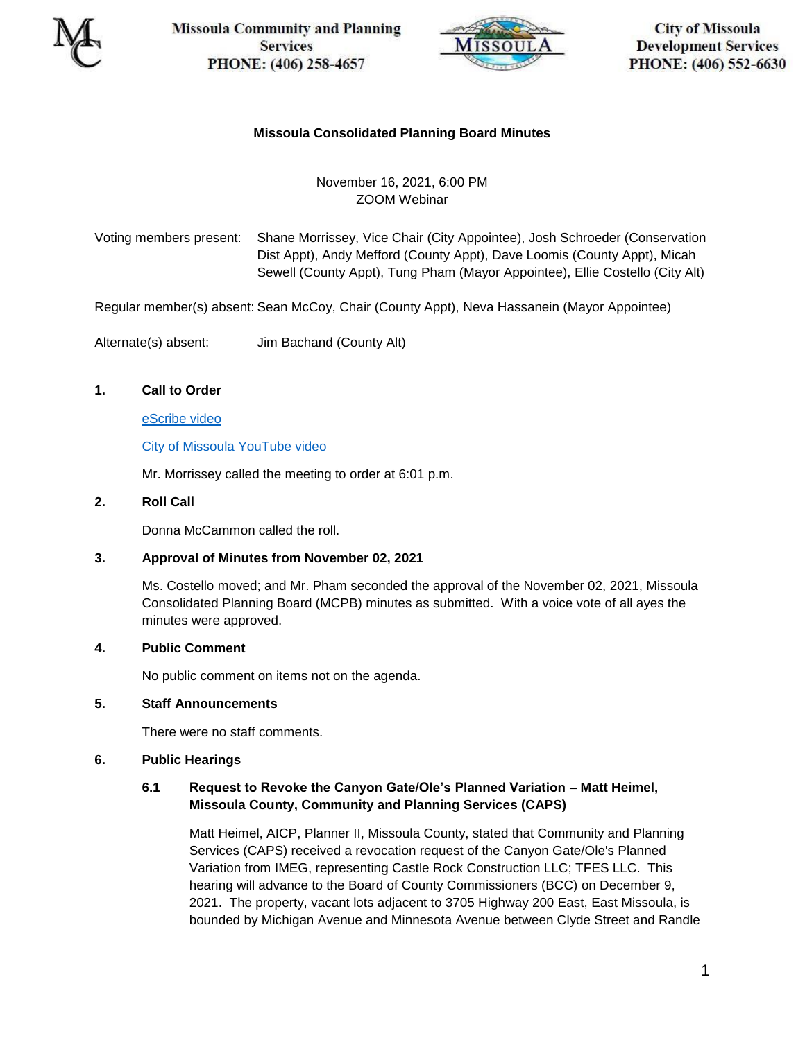

**Missoula Community and Planning Services** PHONE: (406) 258-4657



**City of Missoula Development Services** PHONE: (406) 552-6630

# **Missoula Consolidated Planning Board Minutes**

# November 16, 2021, 6:00 PM ZOOM Webinar

Voting members present: Shane Morrissey, Vice Chair (City Appointee), Josh Schroeder (Conservation Dist Appt), Andy Mefford (County Appt), Dave Loomis (County Appt), Micah Sewell (County Appt), Tung Pham (Mayor Appointee), Ellie Costello (City Alt)

Regular member(s) absent: Sean McCoy, Chair (County Appt), Neva Hassanein (Mayor Appointee)

Alternate(s) absent: Jim Bachand (County Alt)

# **1. Call to Order**

[eScribe video](https://pub-missoula.escribemeetings.com/Players/ISIStandAlonePlayer.aspx?Id=26a57126-559f-4d9a-8caa-17d85c0f6b51)

[City of Missoula YouTube video](https://www.youtube.com/watch?v=mMAc4Vp9x7k)

Mr. Morrissey called the meeting to order at 6:01 p.m.

### **2. Roll Call**

Donna McCammon called the roll.

#### **3. Approval of Minutes from November 02, 2021**

Ms. Costello moved; and Mr. Pham seconded the approval of the November 02, 2021, Missoula Consolidated Planning Board (MCPB) minutes as submitted. With a voice vote of all ayes the minutes were approved.

#### **4. Public Comment**

No public comment on items not on the agenda.

#### **5. Staff Announcements**

There were no staff comments.

#### **6. Public Hearings**

# **6.1 Request to Revoke the Canyon Gate/Ole's Planned Variation – Matt Heimel, Missoula County, Community and Planning Services (CAPS)**

Matt Heimel, AICP, Planner II, Missoula County, stated that Community and Planning Services (CAPS) received a revocation request of the Canyon Gate/Ole's Planned Variation from IMEG, representing Castle Rock Construction LLC; TFES LLC. This hearing will advance to the Board of County Commissioners (BCC) on December 9, 2021. The property, vacant lots adjacent to 3705 Highway 200 East, East Missoula, is bounded by Michigan Avenue and Minnesota Avenue between Clyde Street and Randle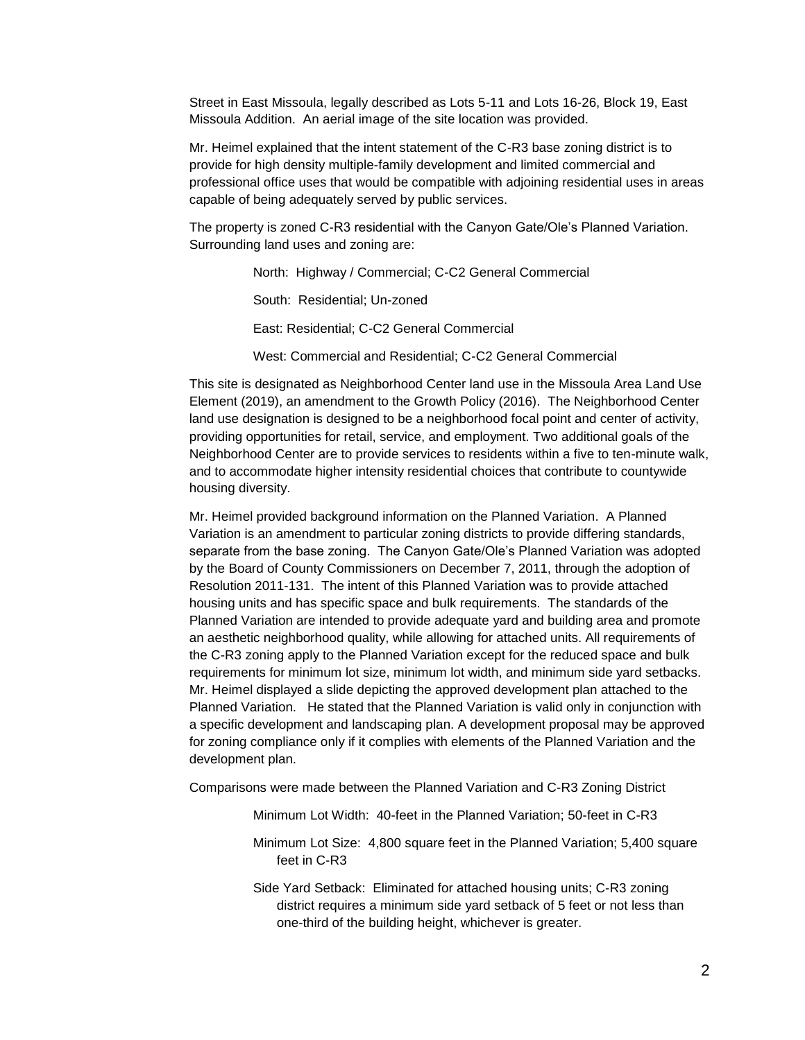Street in East Missoula, legally described as Lots 5-11 and Lots 16-26, Block 19, East Missoula Addition. An aerial image of the site location was provided.

Mr. Heimel explained that the intent statement of the C-R3 base zoning district is to provide for high density multiple-family development and limited commercial and professional office uses that would be compatible with adjoining residential uses in areas capable of being adequately served by public services.

The property is zoned C-R3 residential with the Canyon Gate/Ole's Planned Variation. Surrounding land uses and zoning are:

North: Highway / Commercial; C-C2 General Commercial

South: Residential; Un-zoned

East: Residential; C-C2 General Commercial

West: Commercial and Residential; C-C2 General Commercial

This site is designated as Neighborhood Center land use in the Missoula Area Land Use Element (2019), an amendment to the Growth Policy (2016). The Neighborhood Center land use designation is designed to be a neighborhood focal point and center of activity, providing opportunities for retail, service, and employment. Two additional goals of the Neighborhood Center are to provide services to residents within a five to ten-minute walk, and to accommodate higher intensity residential choices that contribute to countywide housing diversity.

Mr. Heimel provided background information on the Planned Variation. A Planned Variation is an amendment to particular zoning districts to provide differing standards, separate from the base zoning. The Canyon Gate/Ole's Planned Variation was adopted by the Board of County Commissioners on December 7, 2011, through the adoption of Resolution 2011-131. The intent of this Planned Variation was to provide attached housing units and has specific space and bulk requirements. The standards of the Planned Variation are intended to provide adequate yard and building area and promote an aesthetic neighborhood quality, while allowing for attached units. All requirements of the C-R3 zoning apply to the Planned Variation except for the reduced space and bulk requirements for minimum lot size, minimum lot width, and minimum side yard setbacks. Mr. Heimel displayed a slide depicting the approved development plan attached to the Planned Variation. He stated that the Planned Variation is valid only in conjunction with a specific development and landscaping plan. A development proposal may be approved for zoning compliance only if it complies with elements of the Planned Variation and the development plan.

Comparisons were made between the Planned Variation and C-R3 Zoning District

Minimum Lot Width: 40-feet in the Planned Variation; 50-feet in C-R3

- Minimum Lot Size: 4,800 square feet in the Planned Variation; 5,400 square feet in C-R3
- Side Yard Setback: Eliminated for attached housing units; C-R3 zoning district requires a minimum side yard setback of 5 feet or not less than one-third of the building height, whichever is greater.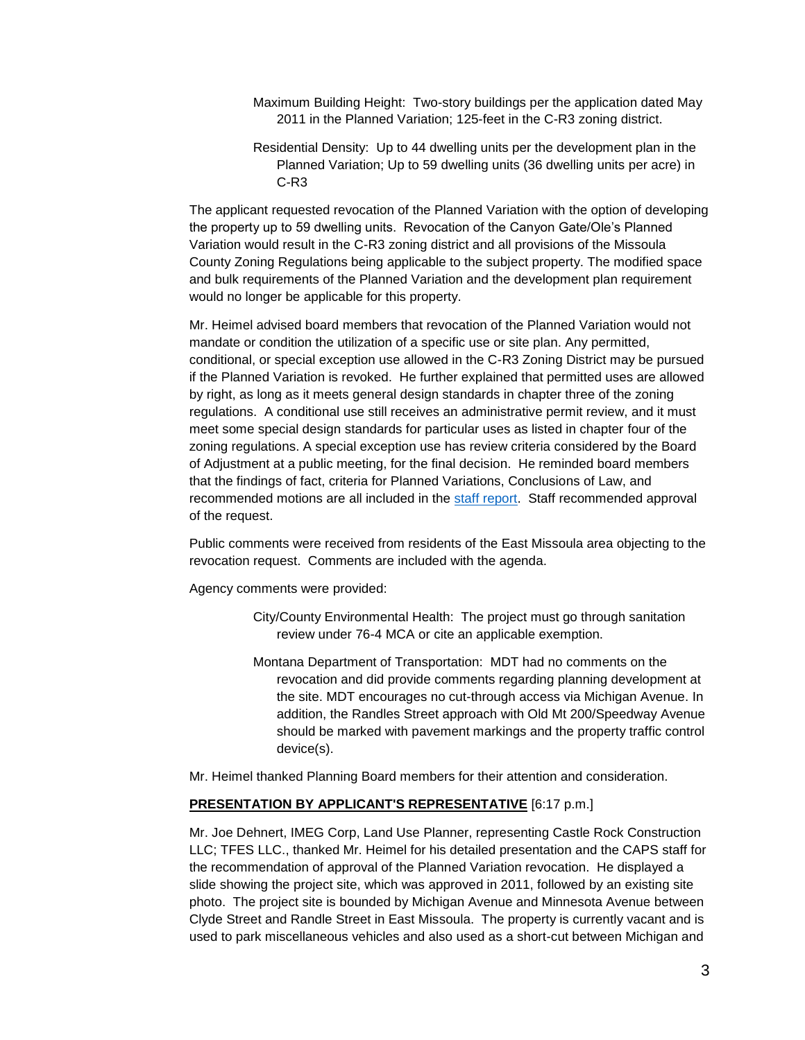- Maximum Building Height: Two-story buildings per the application dated May 2011 in the Planned Variation; 125-feet in the C-R3 zoning district.
- Residential Density: Up to 44 dwelling units per the development plan in the Planned Variation; Up to 59 dwelling units (36 dwelling units per acre) in C-R3

The applicant requested revocation of the Planned Variation with the option of developing the property up to 59 dwelling units. Revocation of the Canyon Gate/Ole's Planned Variation would result in the C-R3 zoning district and all provisions of the Missoula County Zoning Regulations being applicable to the subject property. The modified space and bulk requirements of the Planned Variation and the development plan requirement would no longer be applicable for this property.

Mr. Heimel advised board members that revocation of the Planned Variation would not mandate or condition the utilization of a specific use or site plan. Any permitted, conditional, or special exception use allowed in the C-R3 Zoning District may be pursued if the Planned Variation is revoked. He further explained that permitted uses are allowed by right, as long as it meets general design standards in chapter three of the zoning regulations. A conditional use still receives an administrative permit review, and it must meet some special design standards for particular uses as listed in chapter four of the zoning regulations. A special exception use has review criteria considered by the Board of Adjustment at a public meeting, for the final decision. He reminded board members that the findings of fact, criteria for Planned Variations, Conclusions of Law, and recommended motions are all included in the [staff report.](https://pub-missoula.escribemeetings.com/filestream.ashx?DocumentId=239970) Staff recommended approval of the request.

Public comments were received from residents of the East Missoula area objecting to the revocation request. Comments are included with the agenda.

Agency comments were provided:

- City/County Environmental Health: The project must go through sanitation review under 76-4 MCA or cite an applicable exemption.
- Montana Department of Transportation: MDT had no comments on the revocation and did provide comments regarding planning development at the site. MDT encourages no cut-through access via Michigan Avenue. In addition, the Randles Street approach with Old Mt 200/Speedway Avenue should be marked with pavement markings and the property traffic control device(s).

Mr. Heimel thanked Planning Board members for their attention and consideration.

#### **PRESENTATION BY APPLICANT'S REPRESENTATIVE** [6:17 p.m.]

Mr. Joe Dehnert, IMEG Corp, Land Use Planner, representing Castle Rock Construction LLC; TFES LLC., thanked Mr. Heimel for his detailed presentation and the CAPS staff for the recommendation of approval of the Planned Variation revocation. He displayed a slide showing the project site, which was approved in 2011, followed by an existing site photo. The project site is bounded by Michigan Avenue and Minnesota Avenue between Clyde Street and Randle Street in East Missoula. The property is currently vacant and is used to park miscellaneous vehicles and also used as a short-cut between Michigan and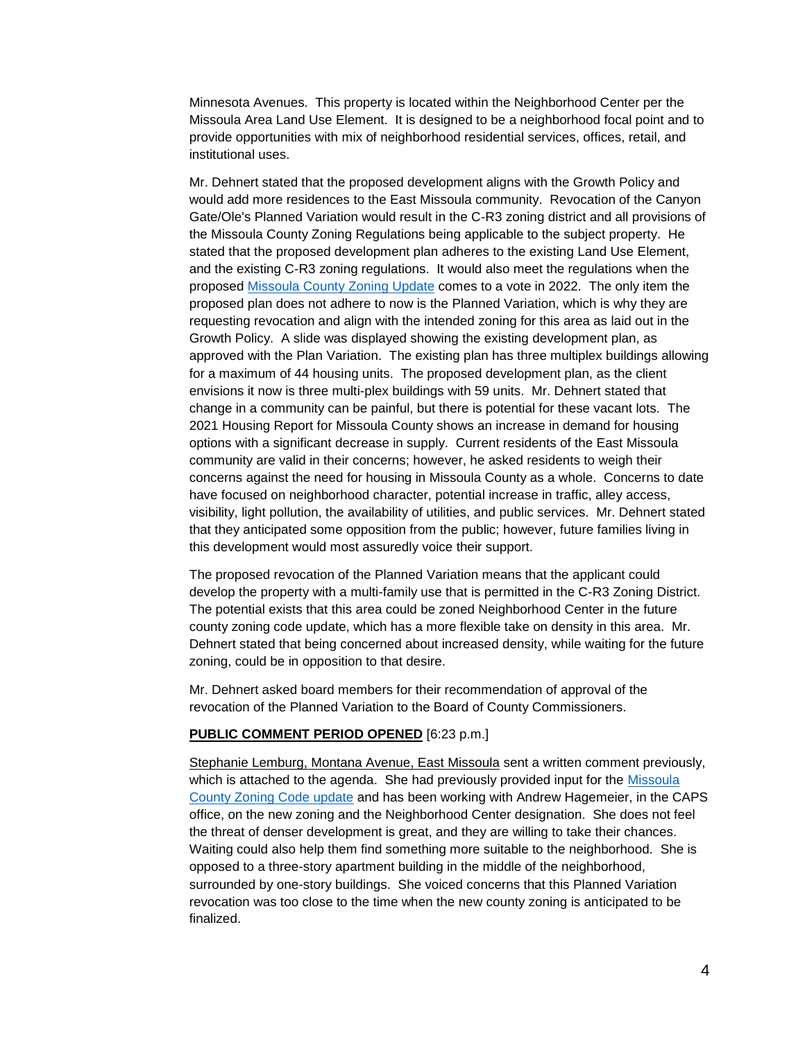Minnesota Avenues. This property is located within the Neighborhood Center per the Missoula Area Land Use Element. It is designed to be a neighborhood focal point and to provide opportunities with mix of neighborhood residential services, offices, retail, and institutional uses.

Mr. Dehnert stated that the proposed development aligns with the Growth Policy and would add more residences to the East Missoula community. Revocation of the Canyon Gate/Ole's Planned Variation would result in the C-R3 zoning district and all provisions of the Missoula County Zoning Regulations being applicable to the subject property. He stated that the proposed development plan adheres to the existing Land Use Element, and the existing C-R3 zoning regulations. It would also meet the regulations when the proposed [Missoula County Zoning Update](https://mc-zoning-update-mcgis.hub.arcgis.com/) comes to a vote in 2022. The only item the proposed plan does not adhere to now is the Planned Variation, which is why they are requesting revocation and align with the intended zoning for this area as laid out in the Growth Policy. A slide was displayed showing the existing development plan, as approved with the Plan Variation. The existing plan has three multiplex buildings allowing for a maximum of 44 housing units. The proposed development plan, as the client envisions it now is three multi-plex buildings with 59 units. Mr. Dehnert stated that change in a community can be painful, but there is potential for these vacant lots. The 2021 Housing Report for Missoula County shows an increase in demand for housing options with a significant decrease in supply. Current residents of the East Missoula community are valid in their concerns; however, he asked residents to weigh their concerns against the need for housing in Missoula County as a whole. Concerns to date have focused on neighborhood character, potential increase in traffic, alley access, visibility, light pollution, the availability of utilities, and public services. Mr. Dehnert stated that they anticipated some opposition from the public; however, future families living in this development would most assuredly voice their support.

The proposed revocation of the Planned Variation means that the applicant could develop the property with a multi-family use that is permitted in the C-R3 Zoning District. The potential exists that this area could be zoned Neighborhood Center in the future county zoning code update, which has a more flexible take on density in this area. Mr. Dehnert stated that being concerned about increased density, while waiting for the future zoning, could be in opposition to that desire.

Mr. Dehnert asked board members for their recommendation of approval of the revocation of the Planned Variation to the Board of County Commissioners.

#### **PUBLIC COMMENT PERIOD OPENED** [6:23 p.m.]

Stephanie Lemburg, Montana Avenue, East Missoula sent a written comment previously, which is attached to the agenda. She had previously provided input for the [Missoula](https://mc-zoning-update-mcgis.hub.arcgis.com/)  [County Zoning Code update](https://mc-zoning-update-mcgis.hub.arcgis.com/) and has been working with Andrew Hagemeier, in the CAPS office, on the new zoning and the Neighborhood Center designation. She does not feel the threat of denser development is great, and they are willing to take their chances. Waiting could also help them find something more suitable to the neighborhood. She is opposed to a three-story apartment building in the middle of the neighborhood, surrounded by one-story buildings. She voiced concerns that this Planned Variation revocation was too close to the time when the new county zoning is anticipated to be finalized.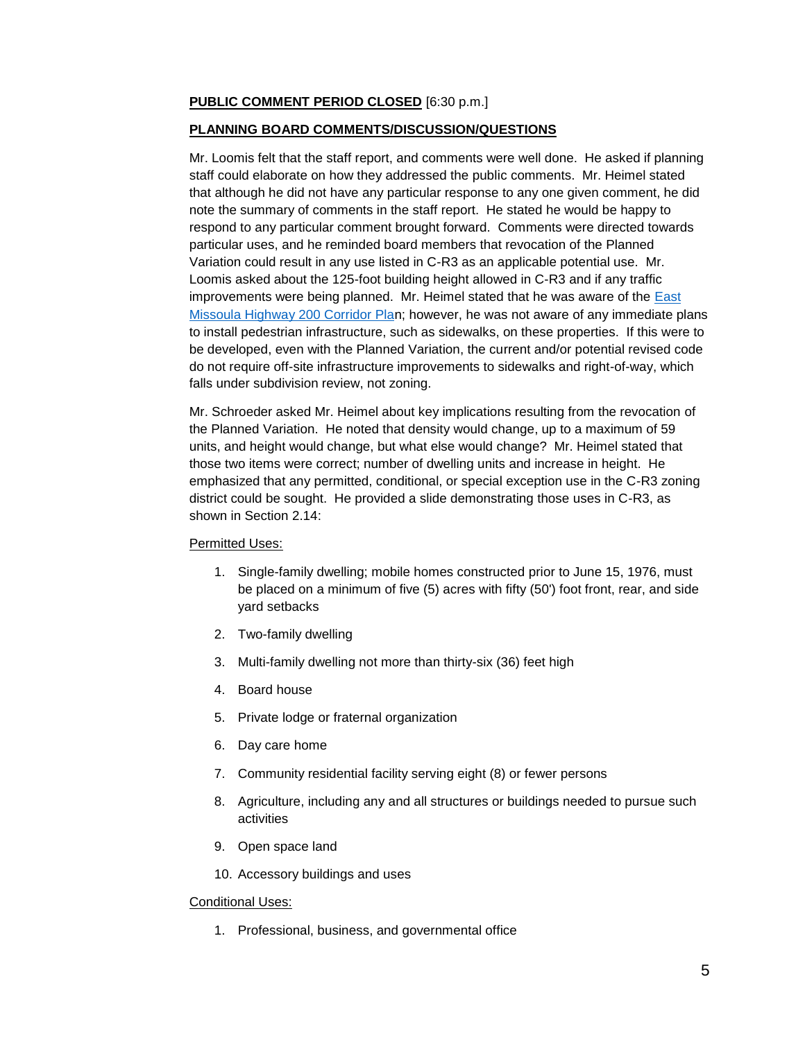### **PUBLIC COMMENT PERIOD CLOSED** [6:30 p.m.]

#### **PLANNING BOARD COMMENTS/DISCUSSION/QUESTIONS**

Mr. Loomis felt that the staff report, and comments were well done. He asked if planning staff could elaborate on how they addressed the public comments. Mr. Heimel stated that although he did not have any particular response to any one given comment, he did note the summary of comments in the staff report. He stated he would be happy to respond to any particular comment brought forward. Comments were directed towards particular uses, and he reminded board members that revocation of the Planned Variation could result in any use listed in C-R3 as an applicable potential use. Mr. Loomis asked about the 125-foot building height allowed in C-R3 and if any traffic improvements were being planned. Mr. Heimel stated that he was aware of the  $\text{East}$ [Missoula Highway 200 Corridor Plan](https://www.missoulampo.com/east-missoula-highway-200-corridor-#:~:text=The%20Corridor%20Plan%20will%20address%2cBrickyard%20Hill%20to%20Tamarack%20Road%29.); however, he was not aware of any immediate plans to install pedestrian infrastructure, such as sidewalks, on these properties. If this were to be developed, even with the Planned Variation, the current and/or potential revised code do not require off-site infrastructure improvements to sidewalks and right-of-way, which falls under subdivision review, not zoning.

Mr. Schroeder asked Mr. Heimel about key implications resulting from the revocation of the Planned Variation. He noted that density would change, up to a maximum of 59 units, and height would change, but what else would change? Mr. Heimel stated that those two items were correct; number of dwelling units and increase in height. He emphasized that any permitted, conditional, or special exception use in the C-R3 zoning district could be sought. He provided a slide demonstrating those uses in C-R3, as shown in Section 2.14:

#### Permitted Uses:

- 1. Single-family dwelling; mobile homes constructed prior to June 15, 1976, must be placed on a minimum of five (5) acres with fifty (50') foot front, rear, and side yard setbacks
- 2. Two-family dwelling
- 3. Multi-family dwelling not more than thirty-six (36) feet high
- 4. Board house
- 5. Private lodge or fraternal organization
- 6. Day care home
- 7. Community residential facility serving eight (8) or fewer persons
- 8. Agriculture, including any and all structures or buildings needed to pursue such activities
- 9. Open space land
- 10. Accessory buildings and uses

#### Conditional Uses:

1. Professional, business, and governmental office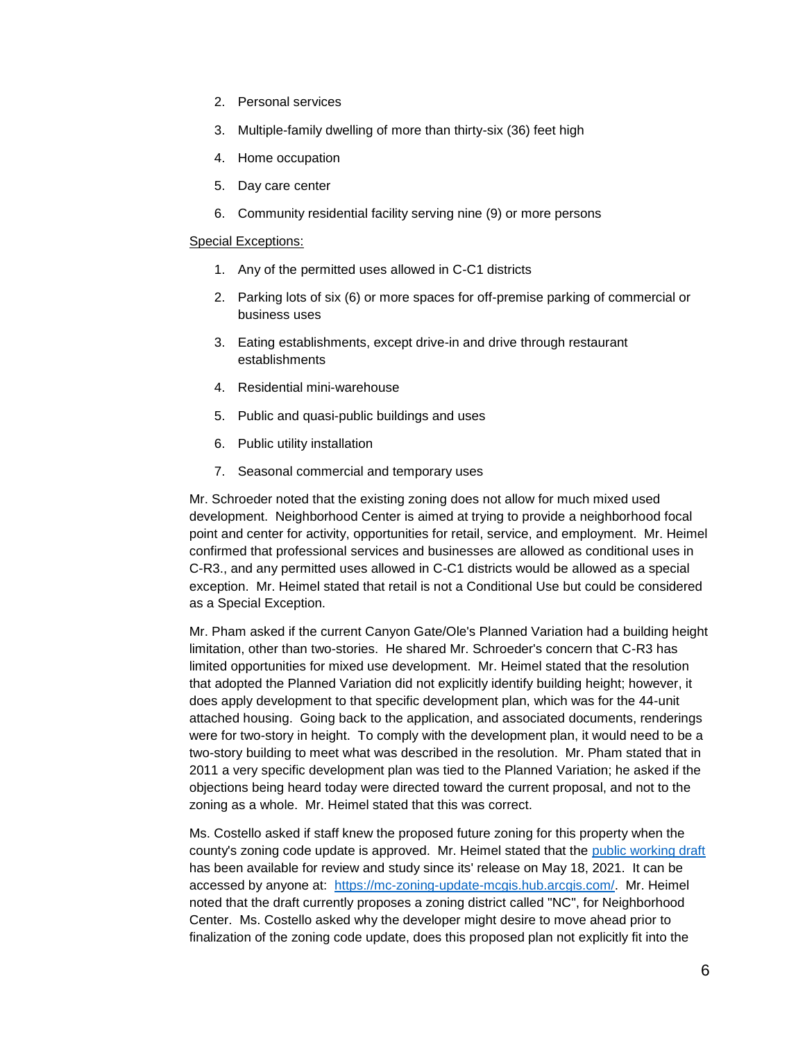- 2. Personal services
- 3. Multiple-family dwelling of more than thirty-six (36) feet high
- 4. Home occupation
- 5. Day care center
- 6. Community residential facility serving nine (9) or more persons

#### Special Exceptions:

- 1. Any of the permitted uses allowed in C-C1 districts
- 2. Parking lots of six (6) or more spaces for off-premise parking of commercial or business uses
- 3. Eating establishments, except drive-in and drive through restaurant establishments
- 4. Residential mini-warehouse
- 5. Public and quasi-public buildings and uses
- 6. Public utility installation
- 7. Seasonal commercial and temporary uses

Mr. Schroeder noted that the existing zoning does not allow for much mixed used development. Neighborhood Center is aimed at trying to provide a neighborhood focal point and center for activity, opportunities for retail, service, and employment. Mr. Heimel confirmed that professional services and businesses are allowed as conditional uses in C-R3., and any permitted uses allowed in C-C1 districts would be allowed as a special exception. Mr. Heimel stated that retail is not a Conditional Use but could be considered as a Special Exception.

Mr. Pham asked if the current Canyon Gate/Ole's Planned Variation had a building height limitation, other than two-stories. He shared Mr. Schroeder's concern that C-R3 has limited opportunities for mixed use development. Mr. Heimel stated that the resolution that adopted the Planned Variation did not explicitly identify building height; however, it does apply development to that specific development plan, which was for the 44-unit attached housing. Going back to the application, and associated documents, renderings were for two-story in height. To comply with the development plan, it would need to be a two-story building to meet what was described in the resolution. Mr. Pham stated that in 2011 a very specific development plan was tied to the Planned Variation; he asked if the objections being heard today were directed toward the current proposal, and not to the zoning as a whole. Mr. Heimel stated that this was correct.

Ms. Costello asked if staff knew the proposed future zoning for this property when the county's zoning code update is approved. Mr. Heimel stated that the [public working draft](https://mc-zoning-update-mcgis.hub.arcgis.com/pages/zoning-code) has been available for review and study since its' release on May 18, 2021. It can be accessed by anyone at: [https://mc-zoning-update-mcgis.hub.arcgis.com/.](https://mc-zoning-update-mcgis.hub.arcgis.com/) Mr. Heimel noted that the draft currently proposes a zoning district called "NC", for Neighborhood Center. Ms. Costello asked why the developer might desire to move ahead prior to finalization of the zoning code update, does this proposed plan not explicitly fit into the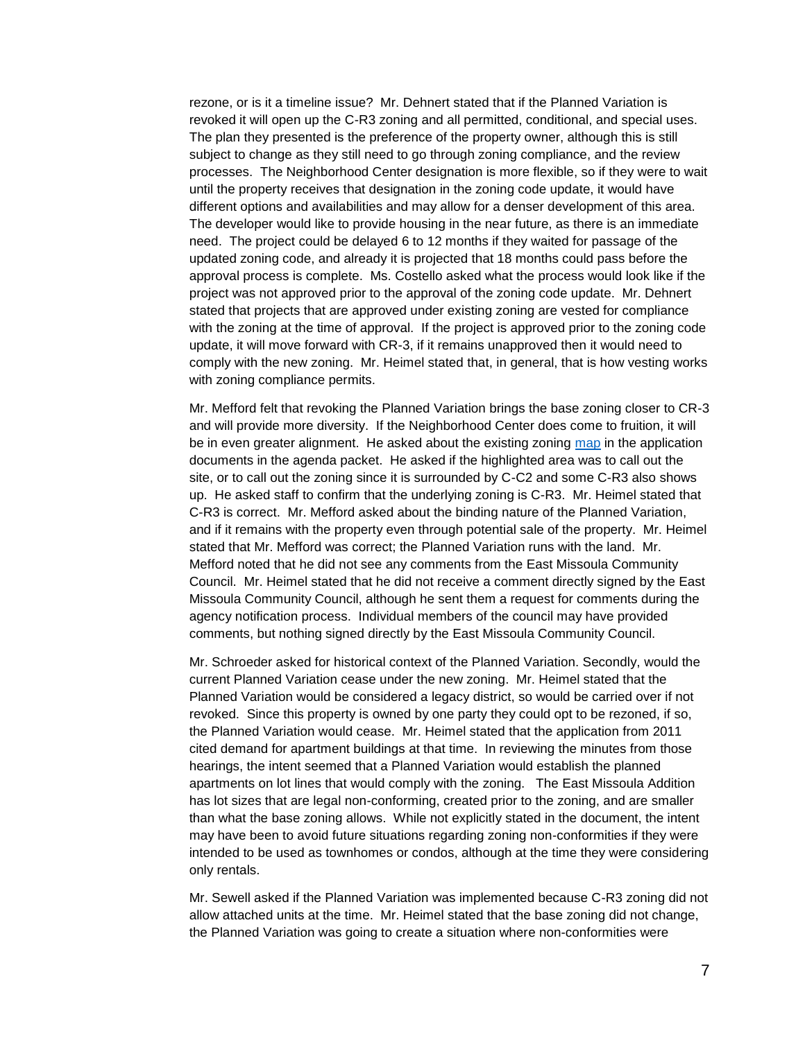rezone, or is it a timeline issue? Mr. Dehnert stated that if the Planned Variation is revoked it will open up the C-R3 zoning and all permitted, conditional, and special uses. The plan they presented is the preference of the property owner, although this is still subject to change as they still need to go through zoning compliance, and the review processes. The Neighborhood Center designation is more flexible, so if they were to wait until the property receives that designation in the zoning code update, it would have different options and availabilities and may allow for a denser development of this area. The developer would like to provide housing in the near future, as there is an immediate need. The project could be delayed 6 to 12 months if they waited for passage of the updated zoning code, and already it is projected that 18 months could pass before the approval process is complete. Ms. Costello asked what the process would look like if the project was not approved prior to the approval of the zoning code update. Mr. Dehnert stated that projects that are approved under existing zoning are vested for compliance with the zoning at the time of approval. If the project is approved prior to the zoning code update, it will move forward with CR-3, if it remains unapproved then it would need to comply with the new zoning. Mr. Heimel stated that, in general, that is how vesting works with zoning compliance permits.

Mr. Mefford felt that revoking the Planned Variation brings the base zoning closer to CR-3 and will provide more diversity. If the Neighborhood Center does come to fruition, it will be in even greater alignment. He asked about the existing zoning [map](https://pub-missoula.escribemeetings.com/filestream.ashx?DocumentId=239971) in the application documents in the agenda packet. He asked if the highlighted area was to call out the site, or to call out the zoning since it is surrounded by C-C2 and some C-R3 also shows up. He asked staff to confirm that the underlying zoning is C-R3. Mr. Heimel stated that C-R3 is correct. Mr. Mefford asked about the binding nature of the Planned Variation, and if it remains with the property even through potential sale of the property. Mr. Heimel stated that Mr. Mefford was correct; the Planned Variation runs with the land. Mr. Mefford noted that he did not see any comments from the East Missoula Community Council. Mr. Heimel stated that he did not receive a comment directly signed by the East Missoula Community Council, although he sent them a request for comments during the agency notification process. Individual members of the council may have provided comments, but nothing signed directly by the East Missoula Community Council.

Mr. Schroeder asked for historical context of the Planned Variation. Secondly, would the current Planned Variation cease under the new zoning. Mr. Heimel stated that the Planned Variation would be considered a legacy district, so would be carried over if not revoked. Since this property is owned by one party they could opt to be rezoned, if so, the Planned Variation would cease. Mr. Heimel stated that the application from 2011 cited demand for apartment buildings at that time. In reviewing the minutes from those hearings, the intent seemed that a Planned Variation would establish the planned apartments on lot lines that would comply with the zoning. The East Missoula Addition has lot sizes that are legal non-conforming, created prior to the zoning, and are smaller than what the base zoning allows. While not explicitly stated in the document, the intent may have been to avoid future situations regarding zoning non-conformities if they were intended to be used as townhomes or condos, although at the time they were considering only rentals.

Mr. Sewell asked if the Planned Variation was implemented because C-R3 zoning did not allow attached units at the time. Mr. Heimel stated that the base zoning did not change, the Planned Variation was going to create a situation where non-conformities were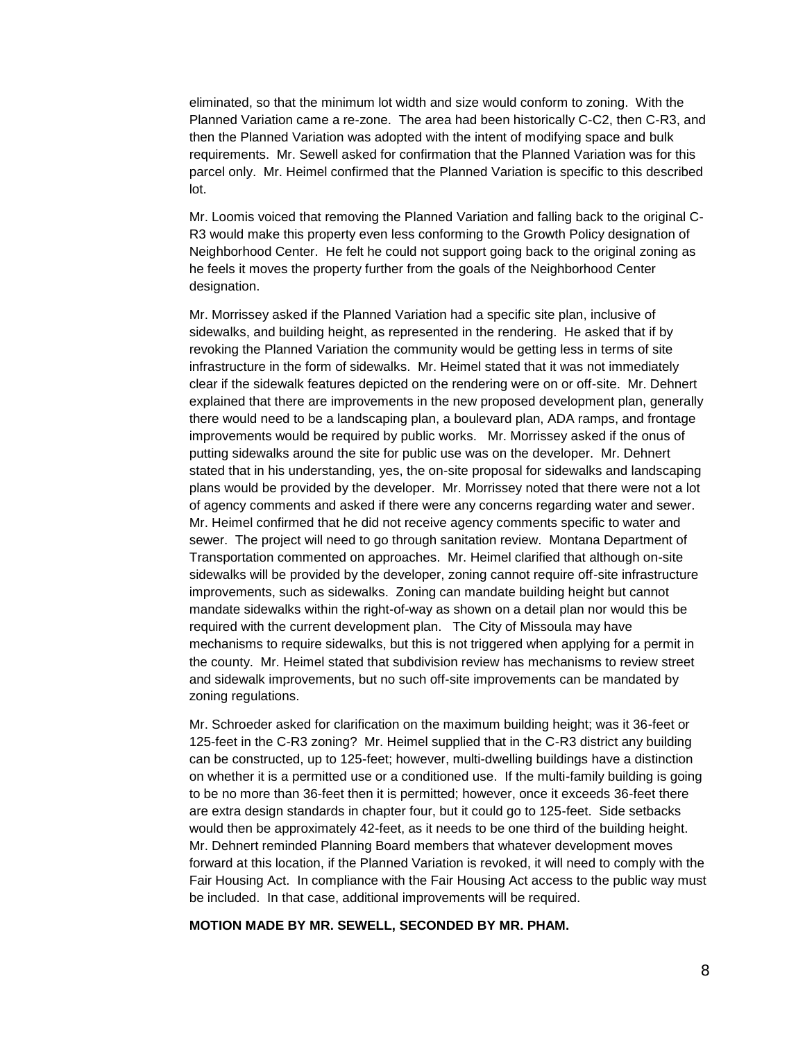eliminated, so that the minimum lot width and size would conform to zoning. With the Planned Variation came a re-zone. The area had been historically C-C2, then C-R3, and then the Planned Variation was adopted with the intent of modifying space and bulk requirements. Mr. Sewell asked for confirmation that the Planned Variation was for this parcel only. Mr. Heimel confirmed that the Planned Variation is specific to this described lot.

Mr. Loomis voiced that removing the Planned Variation and falling back to the original C-R3 would make this property even less conforming to the Growth Policy designation of Neighborhood Center. He felt he could not support going back to the original zoning as he feels it moves the property further from the goals of the Neighborhood Center designation.

Mr. Morrissey asked if the Planned Variation had a specific site plan, inclusive of sidewalks, and building height, as represented in the rendering. He asked that if by revoking the Planned Variation the community would be getting less in terms of site infrastructure in the form of sidewalks. Mr. Heimel stated that it was not immediately clear if the sidewalk features depicted on the rendering were on or off-site. Mr. Dehnert explained that there are improvements in the new proposed development plan, generally there would need to be a landscaping plan, a boulevard plan, ADA ramps, and frontage improvements would be required by public works. Mr. Morrissey asked if the onus of putting sidewalks around the site for public use was on the developer. Mr. Dehnert stated that in his understanding, yes, the on-site proposal for sidewalks and landscaping plans would be provided by the developer. Mr. Morrissey noted that there were not a lot of agency comments and asked if there were any concerns regarding water and sewer. Mr. Heimel confirmed that he did not receive agency comments specific to water and sewer. The project will need to go through sanitation review. Montana Department of Transportation commented on approaches. Mr. Heimel clarified that although on-site sidewalks will be provided by the developer, zoning cannot require off-site infrastructure improvements, such as sidewalks. Zoning can mandate building height but cannot mandate sidewalks within the right-of-way as shown on a detail plan nor would this be required with the current development plan. The City of Missoula may have mechanisms to require sidewalks, but this is not triggered when applying for a permit in the county. Mr. Heimel stated that subdivision review has mechanisms to review street and sidewalk improvements, but no such off-site improvements can be mandated by zoning regulations.

Mr. Schroeder asked for clarification on the maximum building height; was it 36-feet or 125-feet in the C-R3 zoning? Mr. Heimel supplied that in the C-R3 district any building can be constructed, up to 125-feet; however, multi-dwelling buildings have a distinction on whether it is a permitted use or a conditioned use. If the multi-family building is going to be no more than 36-feet then it is permitted; however, once it exceeds 36-feet there are extra design standards in chapter four, but it could go to 125-feet. Side setbacks would then be approximately 42-feet, as it needs to be one third of the building height. Mr. Dehnert reminded Planning Board members that whatever development moves forward at this location, if the Planned Variation is revoked, it will need to comply with the Fair Housing Act. In compliance with the Fair Housing Act access to the public way must be included. In that case, additional improvements will be required.

#### **MOTION MADE BY MR. SEWELL, SECONDED BY MR. PHAM.**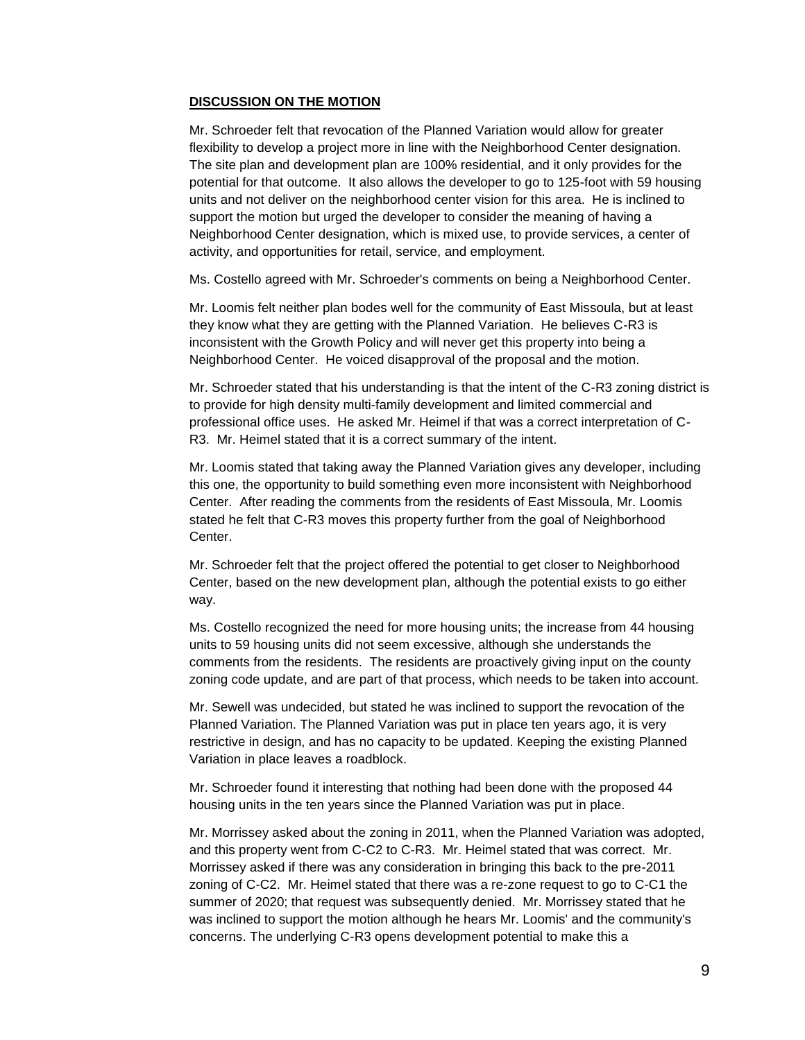#### **DISCUSSION ON THE MOTION**

Mr. Schroeder felt that revocation of the Planned Variation would allow for greater flexibility to develop a project more in line with the Neighborhood Center designation. The site plan and development plan are 100% residential, and it only provides for the potential for that outcome. It also allows the developer to go to 125-foot with 59 housing units and not deliver on the neighborhood center vision for this area. He is inclined to support the motion but urged the developer to consider the meaning of having a Neighborhood Center designation, which is mixed use, to provide services, a center of activity, and opportunities for retail, service, and employment.

Ms. Costello agreed with Mr. Schroeder's comments on being a Neighborhood Center.

Mr. Loomis felt neither plan bodes well for the community of East Missoula, but at least they know what they are getting with the Planned Variation. He believes C-R3 is inconsistent with the Growth Policy and will never get this property into being a Neighborhood Center. He voiced disapproval of the proposal and the motion.

Mr. Schroeder stated that his understanding is that the intent of the C-R3 zoning district is to provide for high density multi-family development and limited commercial and professional office uses. He asked Mr. Heimel if that was a correct interpretation of C-R3. Mr. Heimel stated that it is a correct summary of the intent.

Mr. Loomis stated that taking away the Planned Variation gives any developer, including this one, the opportunity to build something even more inconsistent with Neighborhood Center. After reading the comments from the residents of East Missoula, Mr. Loomis stated he felt that C-R3 moves this property further from the goal of Neighborhood Center.

Mr. Schroeder felt that the project offered the potential to get closer to Neighborhood Center, based on the new development plan, although the potential exists to go either way.

Ms. Costello recognized the need for more housing units; the increase from 44 housing units to 59 housing units did not seem excessive, although she understands the comments from the residents. The residents are proactively giving input on the county zoning code update, and are part of that process, which needs to be taken into account.

Mr. Sewell was undecided, but stated he was inclined to support the revocation of the Planned Variation. The Planned Variation was put in place ten years ago, it is very restrictive in design, and has no capacity to be updated. Keeping the existing Planned Variation in place leaves a roadblock.

Mr. Schroeder found it interesting that nothing had been done with the proposed 44 housing units in the ten years since the Planned Variation was put in place.

Mr. Morrissey asked about the zoning in 2011, when the Planned Variation was adopted, and this property went from C-C2 to C-R3. Mr. Heimel stated that was correct. Mr. Morrissey asked if there was any consideration in bringing this back to the pre-2011 zoning of C-C2. Mr. Heimel stated that there was a re-zone request to go to C-C1 the summer of 2020; that request was subsequently denied. Mr. Morrissey stated that he was inclined to support the motion although he hears Mr. Loomis' and the community's concerns. The underlying C-R3 opens development potential to make this a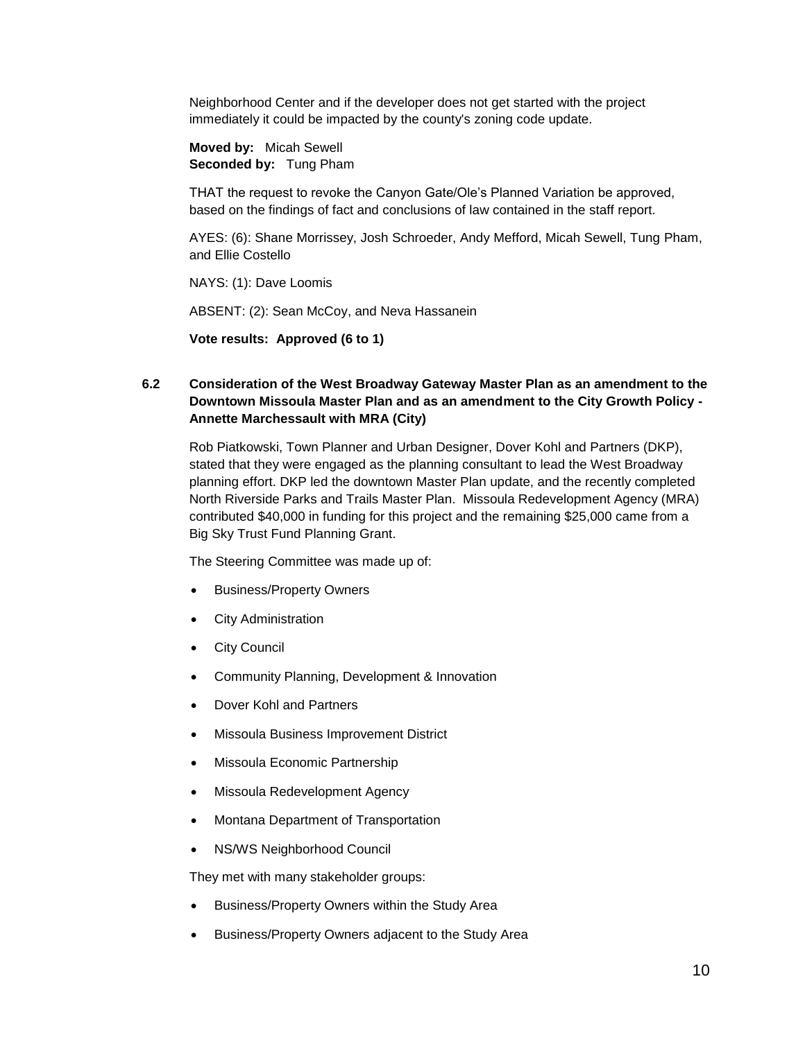Neighborhood Center and if the developer does not get started with the project immediately it could be impacted by the county's zoning code update.

**Moved by:** Micah Sewell **Seconded by:** Tung Pham

THAT the request to revoke the Canyon Gate/Ole's Planned Variation be approved, based on the findings of fact and conclusions of law contained in the staff report.

AYES: (6): Shane Morrissey, Josh Schroeder, Andy Mefford, Micah Sewell, Tung Pham, and Ellie Costello

NAYS: (1): Dave Loomis

ABSENT: (2): Sean McCoy, and Neva Hassanein

**Vote results: Approved (6 to 1)**

# **6.2 Consideration of the West Broadway Gateway Master Plan as an amendment to the Downtown Missoula Master Plan and as an amendment to the City Growth Policy - Annette Marchessault with MRA (City)**

Rob Piatkowski, Town Planner and Urban Designer, Dover Kohl and Partners (DKP), stated that they were engaged as the planning consultant to lead the West Broadway planning effort. DKP led the downtown Master Plan update, and the recently completed North Riverside Parks and Trails Master Plan. Missoula Redevelopment Agency (MRA) contributed \$40,000 in funding for this project and the remaining \$25,000 came from a Big Sky Trust Fund Planning Grant.

The Steering Committee was made up of:

- Business/Property Owners
- City Administration
- City Council
- Community Planning, Development & Innovation
- Dover Kohl and Partners
- Missoula Business Improvement District
- Missoula Economic Partnership
- Missoula Redevelopment Agency
- Montana Department of Transportation
- NS/WS Neighborhood Council

They met with many stakeholder groups:

- Business/Property Owners within the Study Area
- Business/Property Owners adjacent to the Study Area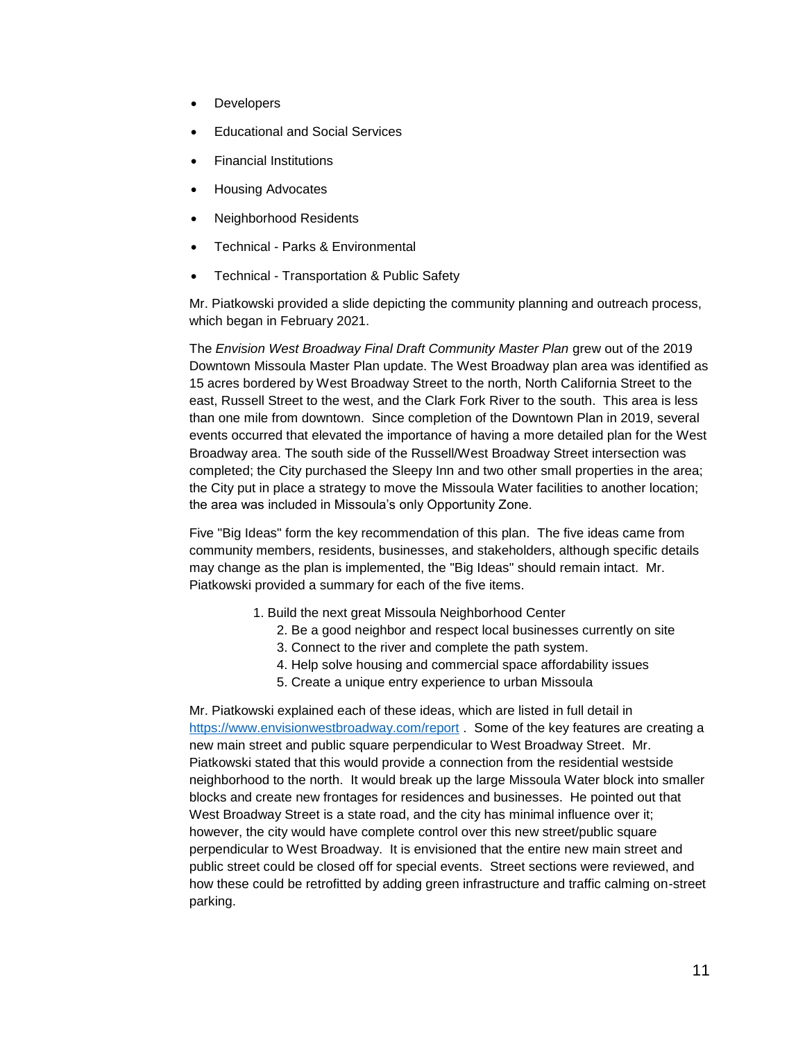- **Developers**
- Educational and Social Services
- Financial Institutions
- Housing Advocates
- Neighborhood Residents
- Technical Parks & Environmental
- Technical Transportation & Public Safety

Mr. Piatkowski provided a slide depicting the community planning and outreach process, which began in February 2021.

The *Envision West Broadway Final Draft Community Master Plan* grew out of the 2019 Downtown Missoula Master Plan update. The West Broadway plan area was identified as 15 acres bordered by West Broadway Street to the north, North California Street to the east, Russell Street to the west, and the Clark Fork River to the south. This area is less than one mile from downtown. Since completion of the Downtown Plan in 2019, several events occurred that elevated the importance of having a more detailed plan for the West Broadway area. The south side of the Russell/West Broadway Street intersection was completed; the City purchased the Sleepy Inn and two other small properties in the area; the City put in place a strategy to move the Missoula Water facilities to another location; the area was included in Missoula's only Opportunity Zone.

Five "Big Ideas" form the key recommendation of this plan. The five ideas came from community members, residents, businesses, and stakeholders, although specific details may change as the plan is implemented, the "Big Ideas" should remain intact. Mr. Piatkowski provided a summary for each of the five items.

- 1. Build the next great Missoula Neighborhood Center
	- 2. Be a good neighbor and respect local businesses currently on site
	- 3. Connect to the river and complete the path system.
	- 4. Help solve housing and commercial space affordability issues
	- 5. Create a unique entry experience to urban Missoula

Mr. Piatkowski explained each of these ideas, which are listed in full detail in <https://www.envisionwestbroadway.com/report> . Some of the key features are creating a new main street and public square perpendicular to West Broadway Street. Mr. Piatkowski stated that this would provide a connection from the residential westside neighborhood to the north. It would break up the large Missoula Water block into smaller blocks and create new frontages for residences and businesses. He pointed out that West Broadway Street is a state road, and the city has minimal influence over it; however, the city would have complete control over this new street/public square perpendicular to West Broadway. It is envisioned that the entire new main street and public street could be closed off for special events. Street sections were reviewed, and how these could be retrofitted by adding green infrastructure and traffic calming on-street parking.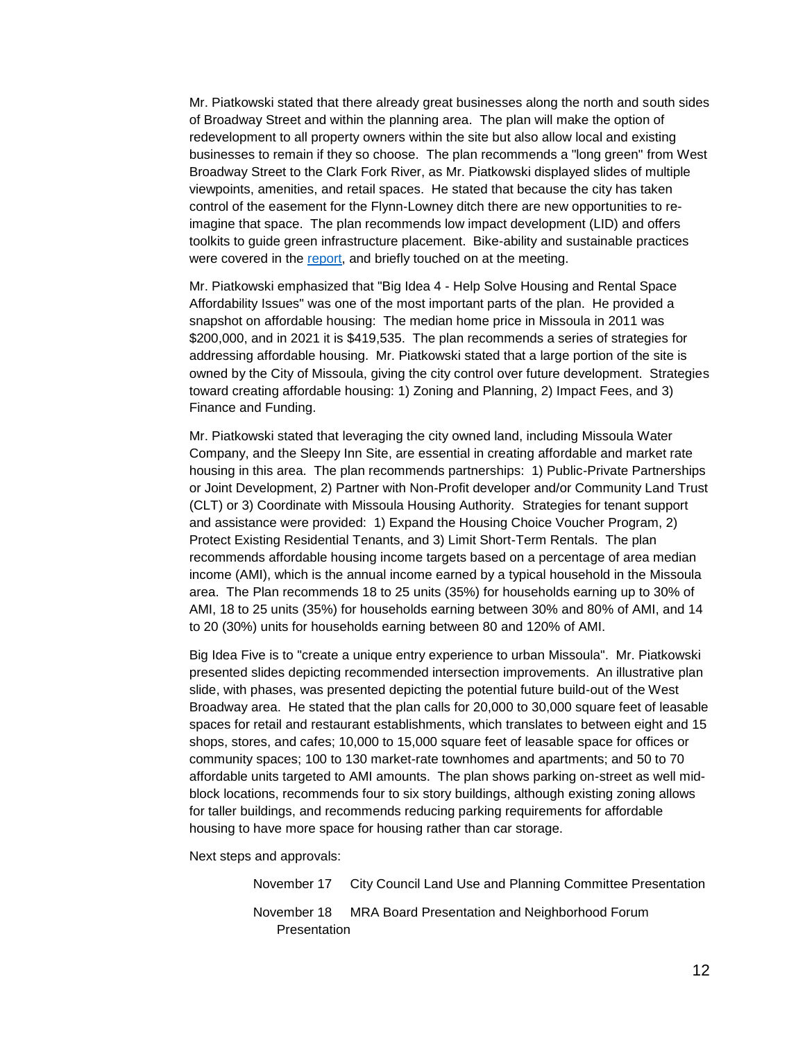Mr. Piatkowski stated that there already great businesses along the north and south sides of Broadway Street and within the planning area. The plan will make the option of redevelopment to all property owners within the site but also allow local and existing businesses to remain if they so choose. The plan recommends a "long green" from West Broadway Street to the Clark Fork River, as Mr. Piatkowski displayed slides of multiple viewpoints, amenities, and retail spaces. He stated that because the city has taken control of the easement for the Flynn-Lowney ditch there are new opportunities to reimagine that space. The plan recommends low impact development (LID) and offers toolkits to guide green infrastructure placement. Bike-ability and sustainable practices were covered in the [report,](https://www.envisionwestbroadway.com/report) and briefly touched on at the meeting.

Mr. Piatkowski emphasized that "Big Idea 4 - Help Solve Housing and Rental Space Affordability Issues" was one of the most important parts of the plan. He provided a snapshot on affordable housing: The median home price in Missoula in 2011 was \$200,000, and in 2021 it is \$419,535. The plan recommends a series of strategies for addressing affordable housing. Mr. Piatkowski stated that a large portion of the site is owned by the City of Missoula, giving the city control over future development. Strategies toward creating affordable housing: 1) Zoning and Planning, 2) Impact Fees, and 3) Finance and Funding.

Mr. Piatkowski stated that leveraging the city owned land, including Missoula Water Company, and the Sleepy Inn Site, are essential in creating affordable and market rate housing in this area. The plan recommends partnerships: 1) Public-Private Partnerships or Joint Development, 2) Partner with Non-Profit developer and/or Community Land Trust (CLT) or 3) Coordinate with Missoula Housing Authority. Strategies for tenant support and assistance were provided: 1) Expand the Housing Choice Voucher Program, 2) Protect Existing Residential Tenants, and 3) Limit Short-Term Rentals. The plan recommends affordable housing income targets based on a percentage of area median income (AMI), which is the annual income earned by a typical household in the Missoula area. The Plan recommends 18 to 25 units (35%) for households earning up to 30% of AMI, 18 to 25 units (35%) for households earning between 30% and 80% of AMI, and 14 to 20 (30%) units for households earning between 80 and 120% of AMI.

Big Idea Five is to "create a unique entry experience to urban Missoula". Mr. Piatkowski presented slides depicting recommended intersection improvements. An illustrative plan slide, with phases, was presented depicting the potential future build-out of the West Broadway area. He stated that the plan calls for 20,000 to 30,000 square feet of leasable spaces for retail and restaurant establishments, which translates to between eight and 15 shops, stores, and cafes; 10,000 to 15,000 square feet of leasable space for offices or community spaces; 100 to 130 market-rate townhomes and apartments; and 50 to 70 affordable units targeted to AMI amounts. The plan shows parking on-street as well midblock locations, recommends four to six story buildings, although existing zoning allows for taller buildings, and recommends reducing parking requirements for affordable housing to have more space for housing rather than car storage.

Next steps and approvals:

November 17 City Council Land Use and Planning Committee Presentation November 18 MRA Board Presentation and Neighborhood Forum Presentation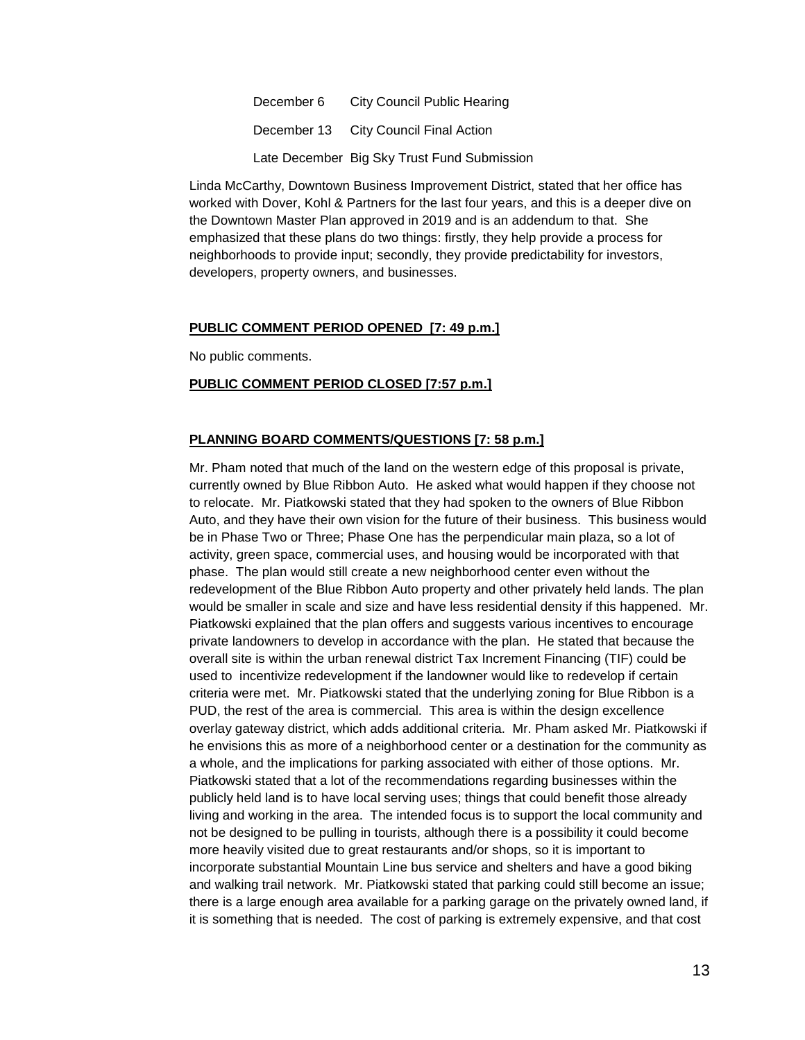December 6 City Council Public Hearing December 13 City Council Final Action Late December Big Sky Trust Fund Submission

Linda McCarthy, Downtown Business Improvement District, stated that her office has worked with Dover, Kohl & Partners for the last four years, and this is a deeper dive on the Downtown Master Plan approved in 2019 and is an addendum to that. She emphasized that these plans do two things: firstly, they help provide a process for neighborhoods to provide input; secondly, they provide predictability for investors, developers, property owners, and businesses.

#### **PUBLIC COMMENT PERIOD OPENED [7: 49 p.m.]**

No public comments.

### **PUBLIC COMMENT PERIOD CLOSED [7:57 p.m.]**

# **PLANNING BOARD COMMENTS/QUESTIONS [7: 58 p.m.]**

Mr. Pham noted that much of the land on the western edge of this proposal is private, currently owned by Blue Ribbon Auto. He asked what would happen if they choose not to relocate. Mr. Piatkowski stated that they had spoken to the owners of Blue Ribbon Auto, and they have their own vision for the future of their business. This business would be in Phase Two or Three; Phase One has the perpendicular main plaza, so a lot of activity, green space, commercial uses, and housing would be incorporated with that phase. The plan would still create a new neighborhood center even without the redevelopment of the Blue Ribbon Auto property and other privately held lands. The plan would be smaller in scale and size and have less residential density if this happened. Mr. Piatkowski explained that the plan offers and suggests various incentives to encourage private landowners to develop in accordance with the plan. He stated that because the overall site is within the urban renewal district Tax Increment Financing (TIF) could be used to incentivize redevelopment if the landowner would like to redevelop if certain criteria were met. Mr. Piatkowski stated that the underlying zoning for Blue Ribbon is a PUD, the rest of the area is commercial. This area is within the design excellence overlay gateway district, which adds additional criteria. Mr. Pham asked Mr. Piatkowski if he envisions this as more of a neighborhood center or a destination for the community as a whole, and the implications for parking associated with either of those options. Mr. Piatkowski stated that a lot of the recommendations regarding businesses within the publicly held land is to have local serving uses; things that could benefit those already living and working in the area. The intended focus is to support the local community and not be designed to be pulling in tourists, although there is a possibility it could become more heavily visited due to great restaurants and/or shops, so it is important to incorporate substantial Mountain Line bus service and shelters and have a good biking and walking trail network. Mr. Piatkowski stated that parking could still become an issue; there is a large enough area available for a parking garage on the privately owned land, if it is something that is needed. The cost of parking is extremely expensive, and that cost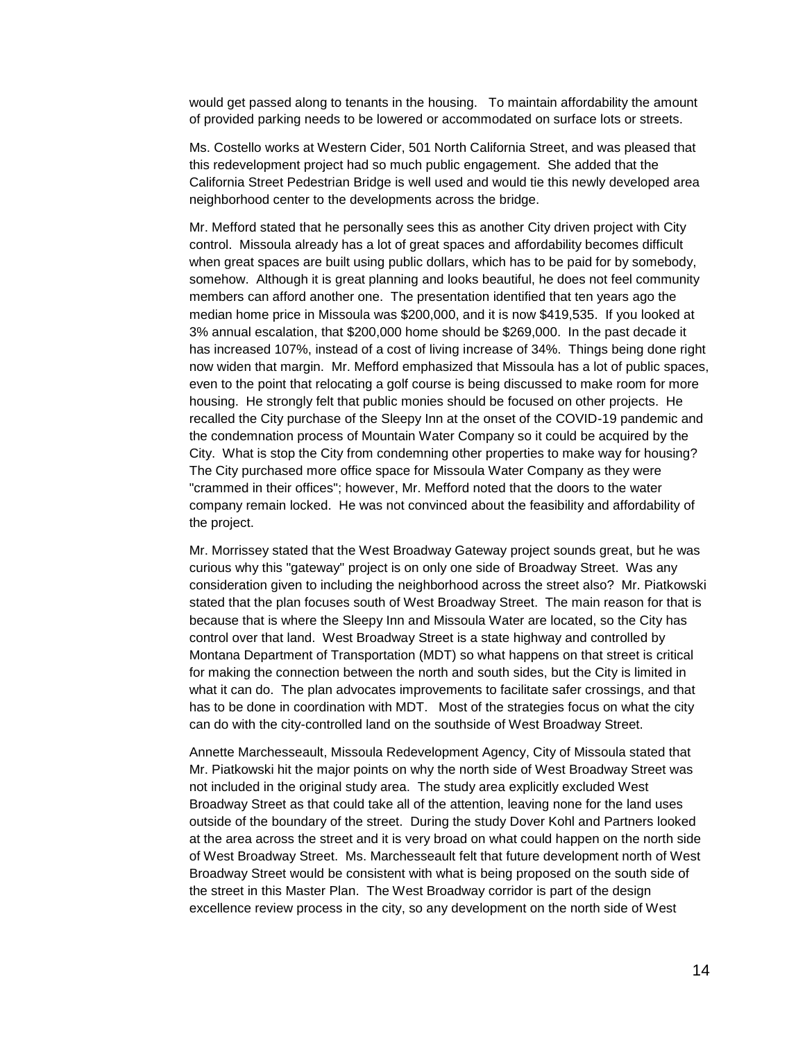would get passed along to tenants in the housing. To maintain affordability the amount of provided parking needs to be lowered or accommodated on surface lots or streets.

Ms. Costello works at Western Cider, 501 North California Street, and was pleased that this redevelopment project had so much public engagement. She added that the California Street Pedestrian Bridge is well used and would tie this newly developed area neighborhood center to the developments across the bridge.

Mr. Mefford stated that he personally sees this as another City driven project with City control. Missoula already has a lot of great spaces and affordability becomes difficult when great spaces are built using public dollars, which has to be paid for by somebody, somehow. Although it is great planning and looks beautiful, he does not feel community members can afford another one. The presentation identified that ten years ago the median home price in Missoula was \$200,000, and it is now \$419,535. If you looked at 3% annual escalation, that \$200,000 home should be \$269,000. In the past decade it has increased 107%, instead of a cost of living increase of 34%. Things being done right now widen that margin. Mr. Mefford emphasized that Missoula has a lot of public spaces, even to the point that relocating a golf course is being discussed to make room for more housing. He strongly felt that public monies should be focused on other projects. He recalled the City purchase of the Sleepy Inn at the onset of the COVID-19 pandemic and the condemnation process of Mountain Water Company so it could be acquired by the City. What is stop the City from condemning other properties to make way for housing? The City purchased more office space for Missoula Water Company as they were "crammed in their offices"; however, Mr. Mefford noted that the doors to the water company remain locked. He was not convinced about the feasibility and affordability of the project.

Mr. Morrissey stated that the West Broadway Gateway project sounds great, but he was curious why this "gateway" project is on only one side of Broadway Street. Was any consideration given to including the neighborhood across the street also? Mr. Piatkowski stated that the plan focuses south of West Broadway Street. The main reason for that is because that is where the Sleepy Inn and Missoula Water are located, so the City has control over that land. West Broadway Street is a state highway and controlled by Montana Department of Transportation (MDT) so what happens on that street is critical for making the connection between the north and south sides, but the City is limited in what it can do. The plan advocates improvements to facilitate safer crossings, and that has to be done in coordination with MDT. Most of the strategies focus on what the city can do with the city-controlled land on the southside of West Broadway Street.

Annette Marchesseault, Missoula Redevelopment Agency, City of Missoula stated that Mr. Piatkowski hit the major points on why the north side of West Broadway Street was not included in the original study area. The study area explicitly excluded West Broadway Street as that could take all of the attention, leaving none for the land uses outside of the boundary of the street. During the study Dover Kohl and Partners looked at the area across the street and it is very broad on what could happen on the north side of West Broadway Street. Ms. Marchesseault felt that future development north of West Broadway Street would be consistent with what is being proposed on the south side of the street in this Master Plan. The West Broadway corridor is part of the design excellence review process in the city, so any development on the north side of West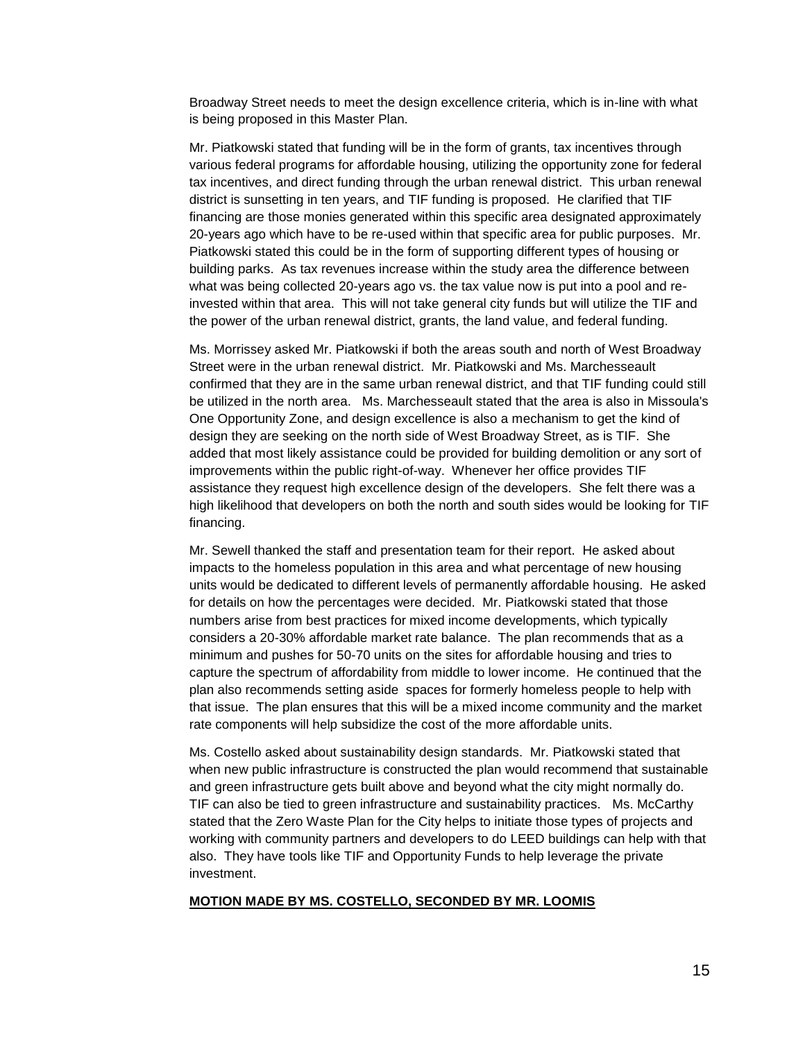Broadway Street needs to meet the design excellence criteria, which is in-line with what is being proposed in this Master Plan.

Mr. Piatkowski stated that funding will be in the form of grants, tax incentives through various federal programs for affordable housing, utilizing the opportunity zone for federal tax incentives, and direct funding through the urban renewal district. This urban renewal district is sunsetting in ten years, and TIF funding is proposed. He clarified that TIF financing are those monies generated within this specific area designated approximately 20-years ago which have to be re-used within that specific area for public purposes. Mr. Piatkowski stated this could be in the form of supporting different types of housing or building parks. As tax revenues increase within the study area the difference between what was being collected 20-years ago vs. the tax value now is put into a pool and reinvested within that area. This will not take general city funds but will utilize the TIF and the power of the urban renewal district, grants, the land value, and federal funding.

Ms. Morrissey asked Mr. Piatkowski if both the areas south and north of West Broadway Street were in the urban renewal district. Mr. Piatkowski and Ms. Marchesseault confirmed that they are in the same urban renewal district, and that TIF funding could still be utilized in the north area. Ms. Marchesseault stated that the area is also in Missoula's One Opportunity Zone, and design excellence is also a mechanism to get the kind of design they are seeking on the north side of West Broadway Street, as is TIF. She added that most likely assistance could be provided for building demolition or any sort of improvements within the public right-of-way. Whenever her office provides TIF assistance they request high excellence design of the developers. She felt there was a high likelihood that developers on both the north and south sides would be looking for TIF financing.

Mr. Sewell thanked the staff and presentation team for their report. He asked about impacts to the homeless population in this area and what percentage of new housing units would be dedicated to different levels of permanently affordable housing. He asked for details on how the percentages were decided. Mr. Piatkowski stated that those numbers arise from best practices for mixed income developments, which typically considers a 20-30% affordable market rate balance. The plan recommends that as a minimum and pushes for 50-70 units on the sites for affordable housing and tries to capture the spectrum of affordability from middle to lower income. He continued that the plan also recommends setting aside spaces for formerly homeless people to help with that issue. The plan ensures that this will be a mixed income community and the market rate components will help subsidize the cost of the more affordable units.

Ms. Costello asked about sustainability design standards. Mr. Piatkowski stated that when new public infrastructure is constructed the plan would recommend that sustainable and green infrastructure gets built above and beyond what the city might normally do. TIF can also be tied to green infrastructure and sustainability practices. Ms. McCarthy stated that the Zero Waste Plan for the City helps to initiate those types of projects and working with community partners and developers to do LEED buildings can help with that also. They have tools like TIF and Opportunity Funds to help leverage the private investment.

#### **MOTION MADE BY MS. COSTELLO, SECONDED BY MR. LOOMIS**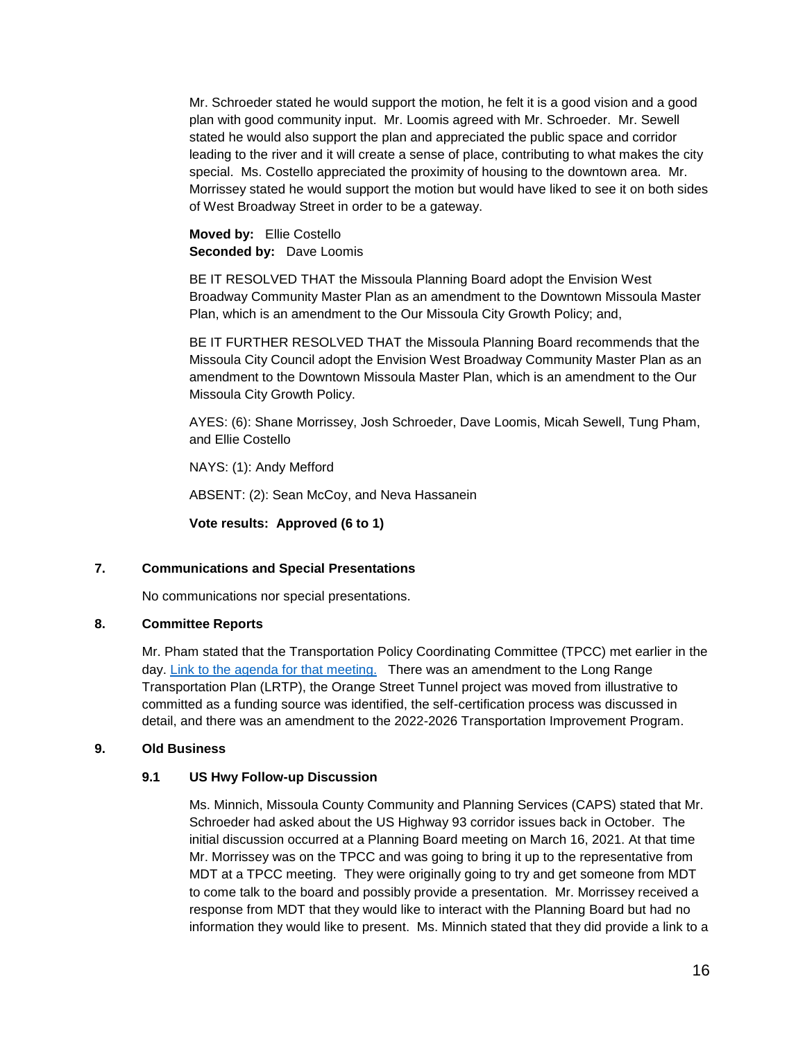Mr. Schroeder stated he would support the motion, he felt it is a good vision and a good plan with good community input. Mr. Loomis agreed with Mr. Schroeder. Mr. Sewell stated he would also support the plan and appreciated the public space and corridor leading to the river and it will create a sense of place, contributing to what makes the city special. Ms. Costello appreciated the proximity of housing to the downtown area. Mr. Morrissey stated he would support the motion but would have liked to see it on both sides of West Broadway Street in order to be a gateway.

**Moved by:** Ellie Costello **Seconded by:** Dave Loomis

BE IT RESOLVED THAT the Missoula Planning Board adopt the Envision West Broadway Community Master Plan as an amendment to the Downtown Missoula Master Plan, which is an amendment to the Our Missoula City Growth Policy; and,

BE IT FURTHER RESOLVED THAT the Missoula Planning Board recommends that the Missoula City Council adopt the Envision West Broadway Community Master Plan as an amendment to the Downtown Missoula Master Plan, which is an amendment to the Our Missoula City Growth Policy.

AYES: (6): Shane Morrissey, Josh Schroeder, Dave Loomis, Micah Sewell, Tung Pham, and Ellie Costello

NAYS: (1): Andy Mefford

ABSENT: (2): Sean McCoy, and Neva Hassanein

**Vote results: Approved (6 to 1)**

# **7. Communications and Special Presentations**

No communications nor special presentations.

# **8. Committee Reports**

Mr. Pham stated that the Transportation Policy Coordinating Committee (TPCC) met earlier in the day. [Link to the agenda for that meeting.](https://pub-missoula.escribemeetings.com/Meeting.aspx?Id=e44884e1-f602-4fee-90b4-36df4edd6e2e&Agenda=Agenda&lang=English) There was an amendment to the Long Range Transportation Plan (LRTP), the Orange Street Tunnel project was moved from illustrative to committed as a funding source was identified, the self-certification process was discussed in detail, and there was an amendment to the 2022-2026 Transportation Improvement Program.

# **9. Old Business**

# **9.1 US Hwy Follow-up Discussion**

Ms. Minnich, Missoula County Community and Planning Services (CAPS) stated that Mr. Schroeder had asked about the US Highway 93 corridor issues back in October. The initial discussion occurred at a Planning Board meeting on March 16, 2021. At that time Mr. Morrissey was on the TPCC and was going to bring it up to the representative from MDT at a TPCC meeting. They were originally going to try and get someone from MDT to come talk to the board and possibly provide a presentation. Mr. Morrissey received a response from MDT that they would like to interact with the Planning Board but had no information they would like to present. Ms. Minnich stated that they did provide a link to a